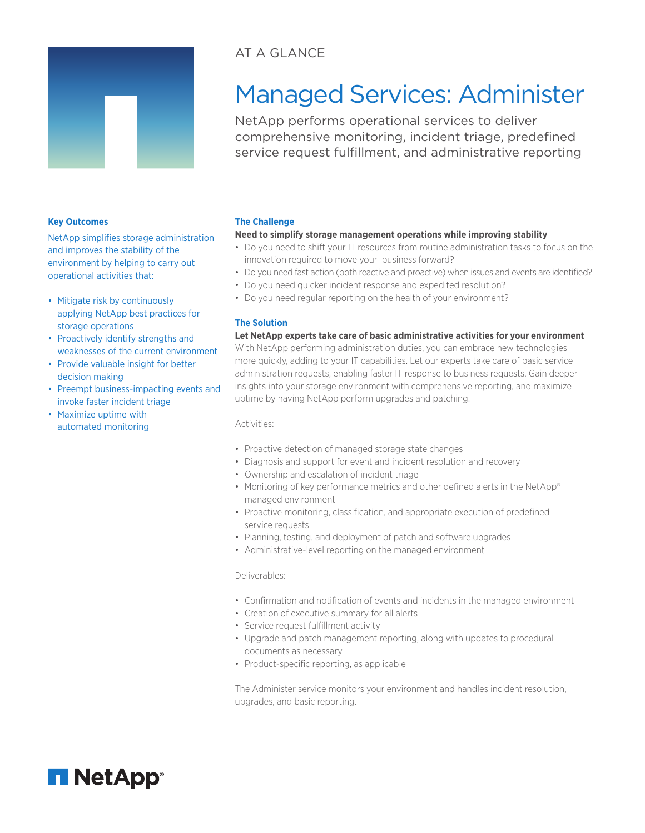

# AT A GLANCE

# Managed Services: Administer

NetApp performs operational services to deliver comprehensive monitoring, incident triage, predefined service request fulfillment, and administrative reporting

### **Key Outcomes**

NetApp simplifies storage administration and improves the stability of the environment by helping to carry out operational activities that:

- Mitigate risk by continuously applying NetApp best practices for storage operations
- Proactively identify strengths and weaknesses of the current environment
- Provide valuable insight for better decision making
- Preempt business-impacting events and invoke faster incident triage
- Maximize uptime with automated monitoring

#### **The Challenge**

#### **Need to simplify storage management operations while improving stability**

- Do you need to shift your IT resources from routine administration tasks to focus on the innovation required to move your business forward?
- Do you need fast action (both reactive and proactive) when issues and events are identified?
- Do you need quicker incident response and expedited resolution?
- Do you need regular reporting on the health of your environment?

### **The Solution**

**Let NetApp experts take care of basic administrative activities for your environment** With NetApp performing administration duties, you can embrace new technologies

more quickly, adding to your IT capabilities. Let our experts take care of basic service administration requests, enabling faster IT response to business requests. Gain deeper insights into your storage environment with comprehensive reporting, and maximize uptime by having NetApp perform upgrades and patching.

#### Activities:

- Proactive detection of managed storage state changes
- Diagnosis and support for event and incident resolution and recovery
- Ownership and escalation of incident triage
- Monitoring of key performance metrics and other defined alerts in the NetApp® managed environment
- Proactive monitoring, classification, and appropriate execution of predefined service requests
- Planning, testing, and deployment of patch and software upgrades
- Administrative-level reporting on the managed environment

#### Deliverables:

- Confirmation and notification of events and incidents in the managed environment
- Creation of executive summary for all alerts
- Service request fulfillment activity
- Upgrade and patch management reporting, along with updates to procedural documents as necessary
- Product-specific reporting, as applicable

The Administer service monitors your environment and handles incident resolution, upgrades, and basic reporting.